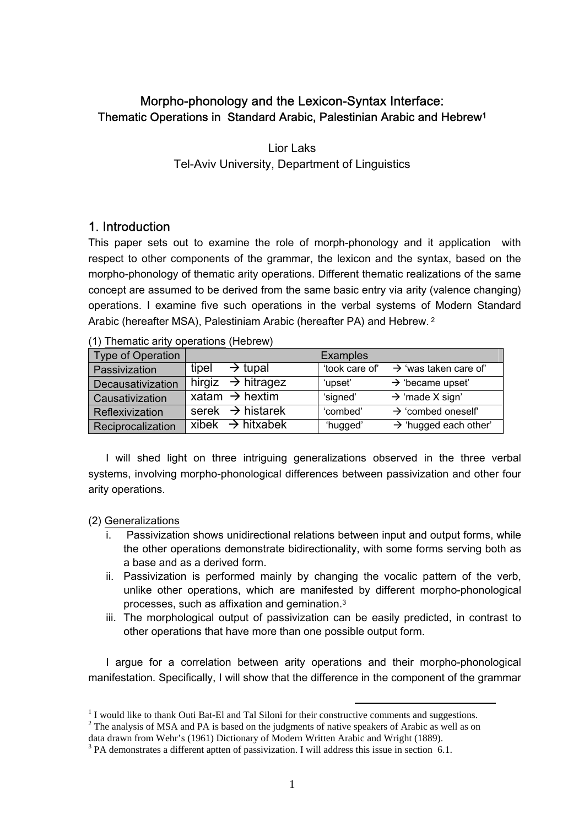# Morpho-phonology and the Lexicon-Syntax Interface: Thematic Operations in Standard Arabic, Palestinian Arabic and Hebrew1

Lior Laks Tel-Aviv University, Department of Linguistics

## 1. Introduction

This paper sets out to examine the role of morph-phonology and it application with respect to other components of the grammar, the lexicon and the syntax, based on the morpho-phonology of thematic arity operations. Different thematic realizations of the same concept are assumed to be derived from the same basic entry via arity (valence changing) operations. I examine five such operations in the verbal systems of Modern Standard Arabic (hereafter MSA), Palestiniam Arabic (hereafter PA) and Hebrew. 2

| Type of Operation        |       |                                            | <b>Examples</b> |                                   |
|--------------------------|-------|--------------------------------------------|-----------------|-----------------------------------|
| Passivization            | tipel | $\rightarrow$ tupal                        | 'took care of'  | $\rightarrow$ 'was taken care of' |
| <b>Decausativization</b> |       | hirgiz $\rightarrow$ hitragez              | 'upset'         | $\rightarrow$ 'became upset'      |
| Causativization          |       | xatam $\rightarrow$ hextim                 | 'signed'        | $\rightarrow$ 'made X sign'       |
| Reflexivization          |       | serek $\rightarrow$ histarek               | 'combed'        | $\rightarrow$ 'combed oneself'    |
| Reciprocalization        |       | $\overline{x}$ ibek $\rightarrow$ hitxabek | 'hugged'        | $\rightarrow$ 'hugged each other' |

(1) Thematic arity operations (Hebrew)

I will shed light on three intriguing generalizations observed in the three verbal systems, involving morpho-phonological differences between passivization and other four arity operations.

(2) Generalizations

- i. Passivization shows unidirectional relations between input and output forms, while the other operations demonstrate bidirectionality, with some forms serving both as a base and as a derived form.
- ii. Passivization is performed mainly by changing the vocalic pattern of the verb, unlike other operations, which are manifested by different morpho-phonological processes, such as affixation and gemination.3
- iii. The morphological output of passivization can be easily predicted, in contrast to other operations that have more than one possible output form.

I argue for a correlation between arity operations and their morpho-phonological manifestation. Specifically, I will show that the difference in the component of the grammar

 <sup>1</sup> I I would like to thank Outi Bat-El and Tal Siloni for their constructive comments and suggestions.<br><sup>2</sup> The englysis of MSA and BA is based on the indemnate of native englishes of Archip as well as an

 $2^2$  The analysis of MSA and PA is based on the judgments of native speakers of Arabic as well as on

data drawn from Wehr's (1961) Dictionary of Modern Written Arabic and Wright (1889). 3

<sup>&</sup>lt;sup>3</sup> PA demonstrates a different aptten of passivization. I will address this issue in section 6.1.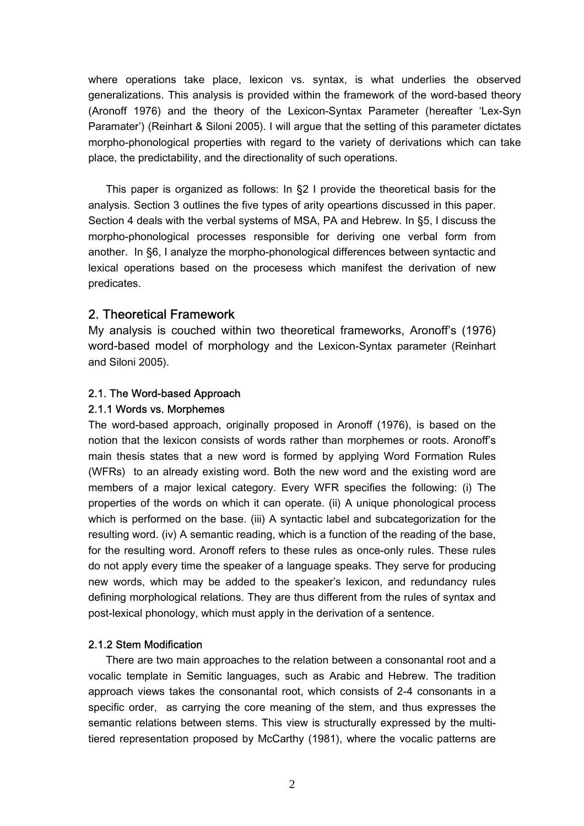where operations take place, lexicon vs. syntax, is what underlies the observed generalizations. This analysis is provided within the framework of the word-based theory (Aronoff 1976) and the theory of the Lexicon-Syntax Parameter (hereafter 'Lex-Syn Paramater') (Reinhart & Siloni 2005). I will argue that the setting of this parameter dictates morpho-phonological properties with regard to the variety of derivations which can take place, the predictability, and the directionality of such operations.

This paper is organized as follows: In §2 I provide the theoretical basis for the analysis. Section 3 outlines the five types of arity opeartions discussed in this paper. Section 4 deals with the verbal systems of MSA, PA and Hebrew. In §5, I discuss the morpho-phonological processes responsible for deriving one verbal form from another. In §6, I analyze the morpho-phonological differences between syntactic and lexical operations based on the procesess which manifest the derivation of new predicates.

## 2. Theoretical Framework

My analysis is couched within two theoretical frameworks, Aronoff's (1976) word-based model of morphology and the Lexicon-Syntax parameter (Reinhart and Siloni 2005).

### 2.1. The Word-based Approach

### 2.1.1 Words vs. Morphemes

The word-based approach, originally proposed in Aronoff (1976), is based on the notion that the lexicon consists of words rather than morphemes or roots. Aronoff's main thesis states that a new word is formed by applying Word Formation Rules (WFRs) to an already existing word. Both the new word and the existing word are members of a major lexical category. Every WFR specifies the following: (i) The properties of the words on which it can operate. (ii) A unique phonological process which is performed on the base. (iii) A syntactic label and subcategorization for the resulting word. (iv) A semantic reading, which is a function of the reading of the base, for the resulting word. Aronoff refers to these rules as once-only rules. These rules do not apply every time the speaker of a language speaks. They serve for producing new words, which may be added to the speaker's lexicon, and redundancy rules defining morphological relations. They are thus different from the rules of syntax and post-lexical phonology, which must apply in the derivation of a sentence.

### 2.1.2 Stem Modification

There are two main approaches to the relation between a consonantal root and a vocalic template in Semitic languages, such as Arabic and Hebrew. The tradition approach views takes the consonantal root, which consists of 2-4 consonants in a specific order, as carrying the core meaning of the stem, and thus expresses the semantic relations between stems. This view is structurally expressed by the multitiered representation proposed by McCarthy (1981), where the vocalic patterns are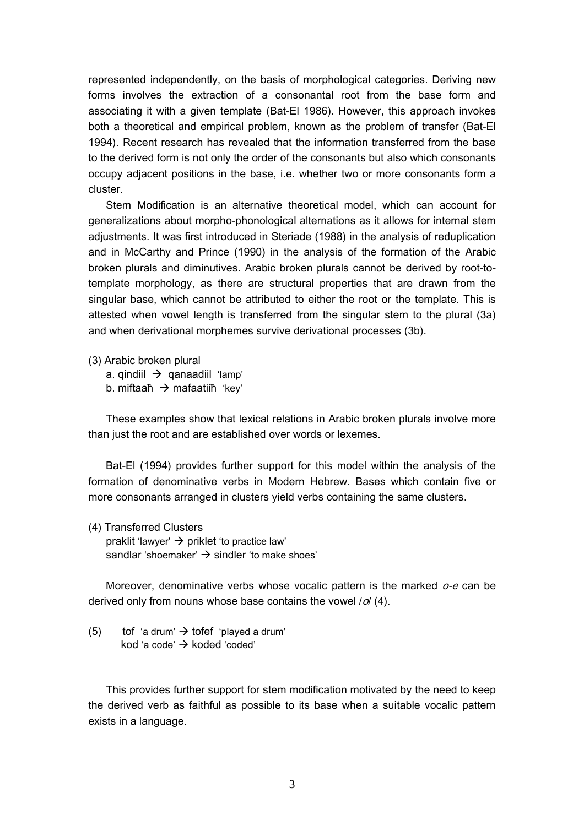represented independently, on the basis of morphological categories. Deriving new forms involves the extraction of a consonantal root from the base form and associating it with a given template (Bat-El 1986). However, this approach invokes both a theoretical and empirical problem, known as the problem of transfer (Bat-El 1994). Recent research has revealed that the information transferred from the base to the derived form is not only the order of the consonants but also which consonants occupy adjacent positions in the base, i.e. whether two or more consonants form a cluster.

Stem Modification is an alternative theoretical model, which can account for generalizations about morpho-phonological alternations as it allows for internal stem adjustments. It was first introduced in Steriade (1988) in the analysis of reduplication and in McCarthy and Prince (1990) in the analysis of the formation of the Arabic broken plurals and diminutives. Arabic broken plurals cannot be derived by root-totemplate morphology, as there are structural properties that are drawn from the singular base, which cannot be attributed to either the root or the template. This is attested when vowel length is transferred from the singular stem to the plural (3a) and when derivational morphemes survive derivational processes (3b).

(3) Arabic broken plural

a. qindiil  $\rightarrow$  qanaadiil 'lamp' b. miftaaħ  $\rightarrow$  mafaatiiħ 'kev'

These examples show that lexical relations in Arabic broken plurals involve more than just the root and are established over words or lexemes.

Bat-El (1994) provides further support for this model within the analysis of the formation of denominative verbs in Modern Hebrew. Bases which contain five or more consonants arranged in clusters yield verbs containing the same clusters.

(4) Transferred Clusters praklit 'lawyer'  $\rightarrow$  priklet 'to practice law' sandlar 'shoemaker'  $\rightarrow$  sindler 'to make shoes'

Moreover, denominative verbs whose vocalic pattern is the marked  $o$ -e can be derived only from nouns whose base contains the vowel  $\sqrt{d}$  (4).

(5) tof 'a drum'  $\rightarrow$  tofef 'played a drum' kod 'a code'  $\rightarrow$  koded 'coded'

This provides further support for stem modification motivated by the need to keep the derived verb as faithful as possible to its base when a suitable vocalic pattern exists in a language.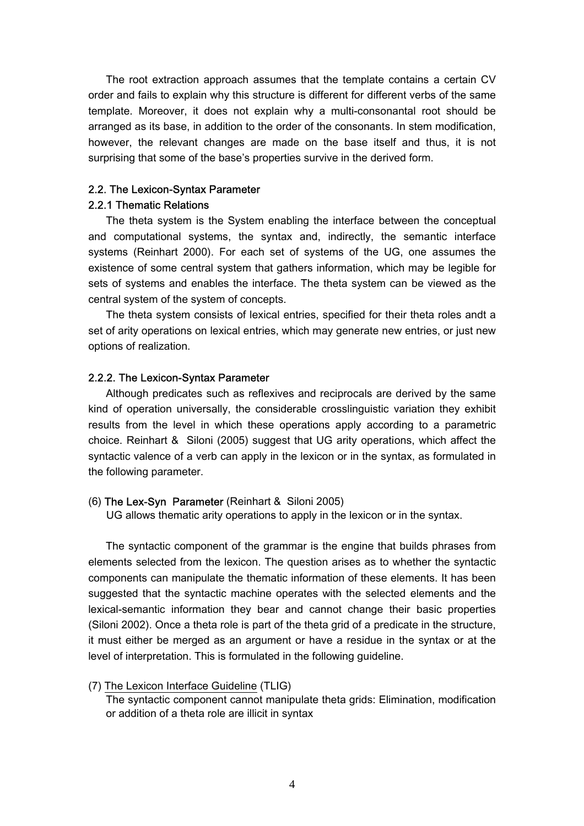The root extraction approach assumes that the template contains a certain CV order and fails to explain why this structure is different for different verbs of the same template. Moreover, it does not explain why a multi-consonantal root should be arranged as its base, in addition to the order of the consonants. In stem modification, however, the relevant changes are made on the base itself and thus, it is not surprising that some of the base's properties survive in the derived form.

### 2.2. The Lexicon-Syntax Parameter

### 2.2.1 Thematic Relations

The theta system is the System enabling the interface between the conceptual and computational systems, the syntax and, indirectly, the semantic interface systems (Reinhart 2000). For each set of systems of the UG, one assumes the existence of some central system that gathers information, which may be legible for sets of systems and enables the interface. The theta system can be viewed as the central system of the system of concepts.

The theta system consists of lexical entries, specified for their theta roles andt a set of arity operations on lexical entries, which may generate new entries, or just new options of realization.

### 2.2.2. The Lexicon-Syntax Parameter

Although predicates such as reflexives and reciprocals are derived by the same kind of operation universally, the considerable crosslinguistic variation they exhibit results from the level in which these operations apply according to a parametric choice. Reinhart & Siloni (2005) suggest that UG arity operations, which affect the syntactic valence of a verb can apply in the lexicon or in the syntax, as formulated in the following parameter.

### (6) The Lex-Syn Parameter (Reinhart & Siloni 2005)

UG allows thematic arity operations to apply in the lexicon or in the syntax.

The syntactic component of the grammar is the engine that builds phrases from elements selected from the lexicon. The question arises as to whether the syntactic components can manipulate the thematic information of these elements. It has been suggested that the syntactic machine operates with the selected elements and the lexical-semantic information they bear and cannot change their basic properties (Siloni 2002). Once a theta role is part of the theta grid of a predicate in the structure, it must either be merged as an argument or have a residue in the syntax or at the level of interpretation. This is formulated in the following guideline.

### (7) The Lexicon Interface Guideline (TLIG)

The syntactic component cannot manipulate theta grids: Elimination, modification or addition of a theta role are illicit in syntax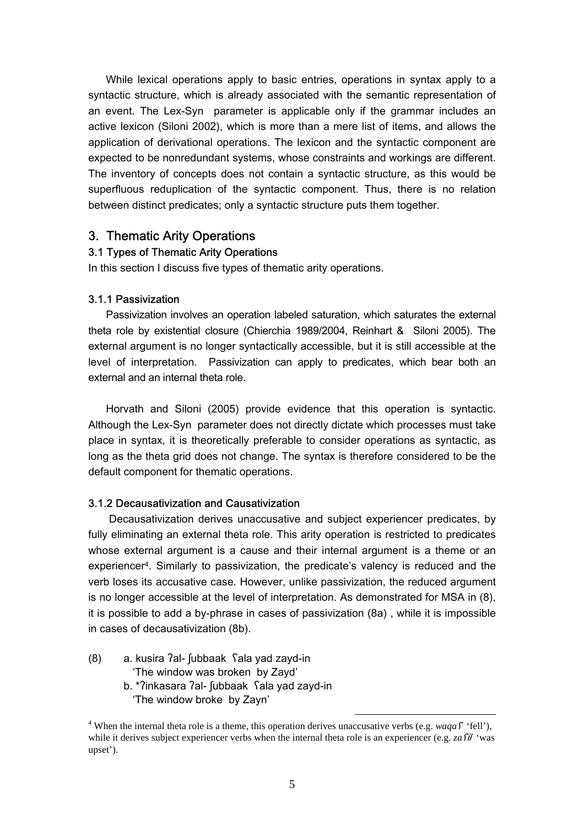While lexical operations apply to basic entries, operations in syntax apply to a syntactic structure, which is already associated with the semantic representation of an event. The Lex-Syn parameter is applicable only if the grammar includes an active lexicon (Siloni 2002), which is more than a mere list of items, and allows the application of derivational operations. The lexicon and the syntactic component are expected to be nonredundant systems, whose constraints and workings are different. The inventory of concepts does not contain a syntactic structure, as this would be superfluous reduplication of the syntactic component. Thus, there is no relation between distinct predicates; only a syntactic structure puts them together.

### 3. Thematic Arity Operations

### 3.1 Types of Thematic Arity Operations

In this section I discuss five types of thematic arity operations.

#### 3.1.1 Passivization

Passivization involves an operation labeled saturation, which saturates the external theta role by existential closure (Chierchia 1989/2004, Reinhart & Siloni 2005). The external argument is no longer syntactically accessible, but it is still accessible at the level of interpretation. Passivization can apply to predicates, which bear both an external and an internal theta role.

Horvath and Siloni (2005) provide evidence that this operation is syntactic. Although the Lex-Syn parameter does not directly dictate which processes must take place in syntax, it is theoretically preferable to consider operations as syntactic, as long as the theta grid does not change. The syntax is therefore considered to be the default component for thematic operations.

#### 3.1.2 Decausativization and Causativization

 Decausativization derives unaccusative and subject experiencer predicates, by fully eliminating an external theta role. This arity operation is restricted to predicates whose external argument is a cause and their internal argument is a theme or an experiencer4. Similarly to passivization, the predicate's valency is reduced and the verb loses its accusative case. However, unlike passivization, the reduced argument is no longer accessible at the level of interpretation. As demonstrated for MSA in (8), it is possible to add a by-phrase in cases of passivization (8a) , while it is impossible in cases of decausativization (8b).

- (8) a. kusira ʔal- ʃubbaak ʕala yad zayd-in 'The window was broken by Zayd' b. \*ʔinkasara ʔal- ʃubbaak ʕala yad zayd-in
	- 'The window broke by Zayn'

<sup>&</sup>lt;sup>4</sup> When the internal theta role is a theme, this operation derives unaccusative verbs (e.g. *waqa*  $\hat{f}$  'fell'), while it derives subject experiencer verbs when the internal theta role is an experiencer (e.g. *za* Sil 'was upset').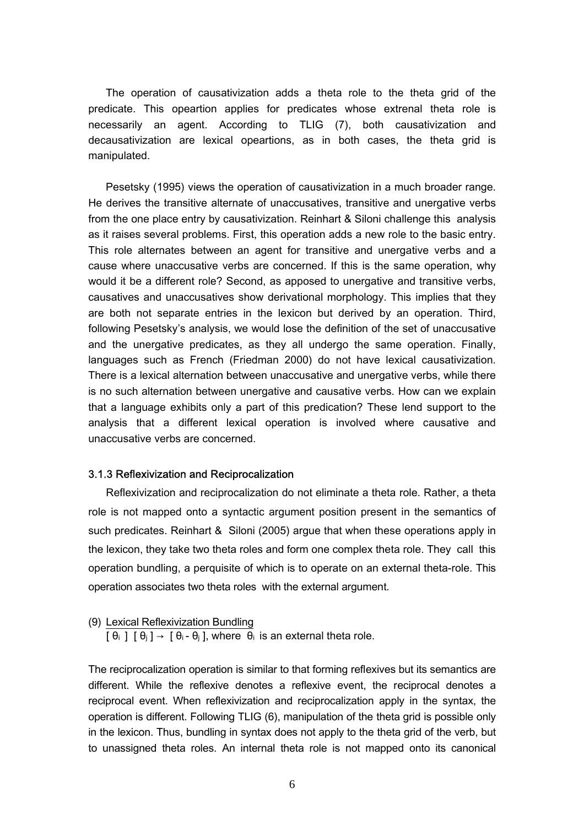The operation of causativization adds a theta role to the theta grid of the predicate. This opeartion applies for predicates whose extrenal theta role is necessarily an agent. According to TLIG (7), both causativization and decausativization are lexical opeartions, as in both cases, the theta grid is manipulated.

Pesetsky (1995) views the operation of causativization in a much broader range. He derives the transitive alternate of unaccusatives, transitive and unergative verbs from the one place entry by causativization. Reinhart & Siloni challenge this analysis as it raises several problems. First, this operation adds a new role to the basic entry. This role alternates between an agent for transitive and unergative verbs and a cause where unaccusative verbs are concerned. If this is the same operation, why would it be a different role? Second, as apposed to unergative and transitive verbs, causatives and unaccusatives show derivational morphology. This implies that they are both not separate entries in the lexicon but derived by an operation. Third, following Pesetsky's analysis, we would lose the definition of the set of unaccusative and the unergative predicates, as they all undergo the same operation. Finally, languages such as French (Friedman 2000) do not have lexical causativization. There is a lexical alternation between unaccusative and unergative verbs, while there is no such alternation between unergative and causative verbs. How can we explain that a language exhibits only a part of this predication? These lend support to the analysis that a different lexical operation is involved where causative and unaccusative verbs are concerned.

#### 3.1.3 Reflexivization and Reciprocalization

Reflexivization and reciprocalization do not eliminate a theta role. Rather, a theta role is not mapped onto a syntactic argument position present in the semantics of such predicates. Reinhart & Siloni (2005) argue that when these operations apply in the lexicon, they take two theta roles and form one complex theta role. They call this operation bundling, a perquisite of which is to operate on an external theta-role. This operation associates two theta roles with the external argument.

### (9) Lexical Reflexivization Bundling

 $\lceil \theta_i \rceil \rceil \theta_i \rceil \rightarrow \lceil \theta_i - \theta_i \rceil$ , where  $\theta_i$  is an external theta role.

The reciprocalization operation is similar to that forming reflexives but its semantics are different. While the reflexive denotes a reflexive event, the reciprocal denotes a reciprocal event. When reflexivization and reciprocalization apply in the syntax, the operation is different. Following TLIG (6), manipulation of the theta grid is possible only in the lexicon. Thus, bundling in syntax does not apply to the theta grid of the verb, but to unassigned theta roles. An internal theta role is not mapped onto its canonical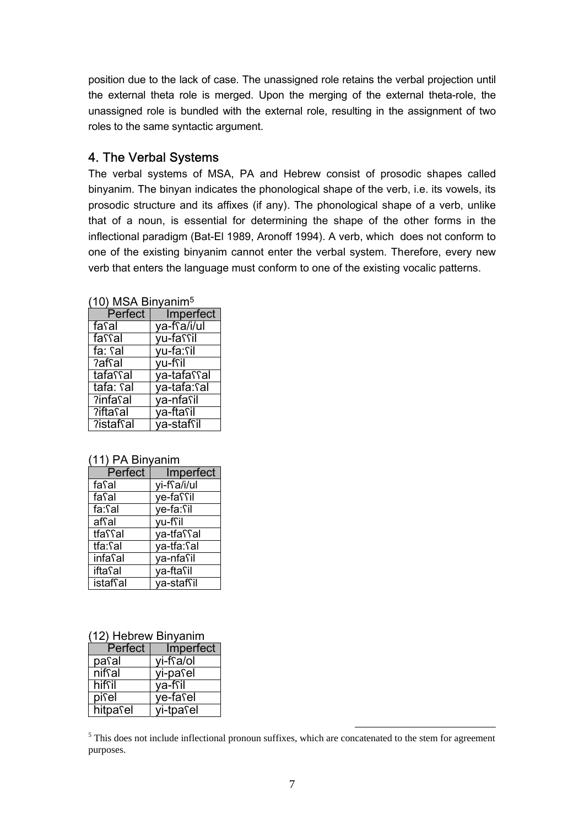position due to the lack of case. The unassigned role retains the verbal projection until the external theta role is merged. Upon the merging of the external theta-role, the unassigned role is bundled with the external role, resulting in the assignment of two roles to the same syntactic argument.

## 4. The Verbal Systems

The verbal systems of MSA, PA and Hebrew consist of prosodic shapes called binyanim. The binyan indicates the phonological shape of the verb, i.e. its vowels, its prosodic structure and its affixes (if any). The phonological shape of a verb, unlike that of a noun, is essential for determining the shape of the other forms in the inflectional paradigm (Bat-El 1989, Aronoff 1994). A verb, which does not conform to one of the existing binyanim cannot enter the verbal system. Therefore, every new verb that enters the language must conform to one of the existing vocalic patterns.

| <b>TU) MISA DIHYAHIIIP</b> |                     |  |
|----------------------------|---------------------|--|
|                            | Perfect   Imperfect |  |
| <u>fa</u> sal              | ya-ffa/i/ul         |  |
| fassal                     | yu-fassil           |  |
| fa: fal                    | yu-fa: sil          |  |
| ?afsal                     | vu-fril             |  |
| tafassal                   | ya-tafassal         |  |
| tafa: Sal                  | ya-tafa: sal        |  |
| ?infasal                   | ya-nfasil           |  |
| <b>Tifta</b> sal           | ya-ftasil           |  |
| ?istafsal                  | va-staffil          |  |

 $(40)$  MCA Binyanim<sup>5</sup>

### (11) PA Binyanim

| Perfect         | Imperfect   |
|-----------------|-------------|
| fasal           | yi-ffa/i/ul |
| fasal           | ye-faffil   |
| fa:Sal          | ye-fa: fil  |
| afsal           | yu-fsil     |
| tfaffal         | ya-tfaffal  |
| tfa:Sal         | ya-tfa: Sal |
| <b>infa</b> sal | ya-nfasil   |
| <i>ifta</i> Sal | va-ftasil   |
| istafsal        | va-stafsil  |

| Perfect  | Imperfect |
|----------|-----------|
| pasal    | vi-ffa/ol |
| niffal   | yi-pasel  |
| hiffil   | va-fsil   |
| pisel    | ye-fasel  |
| hitpasel | yi-tpasel |

<sup>5</sup> This does not include inflectional pronoun suffixes, which are concatenated to the stem for agreement purposes.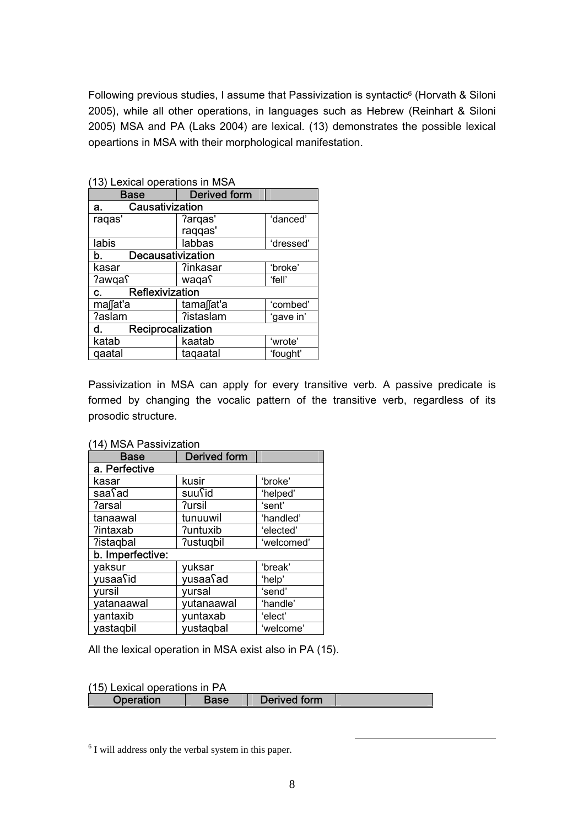Following previous studies, I assume that Passivization is syntactic<sup>6</sup> (Horvath & Siloni 2005), while all other operations, in languages such as Hebrew (Reinhart & Siloni 2005) MSA and PA (Laks 2004) are lexical. (13) demonstrates the possible lexical opeartions in MSA with their morphological manifestation.

| (13) Lexical operations in MSA    |                     |           |  |
|-----------------------------------|---------------------|-----------|--|
| <b>Base</b>                       | <b>Derived form</b> |           |  |
| Causativization<br>а.             |                     |           |  |
| ragas'                            | ?arqas'             | 'danced'  |  |
|                                   | raqqas'             |           |  |
| labis                             | labbas              | 'dressed' |  |
| Decausativization<br>b.           |                     |           |  |
| kasar                             | ?inkasar            | 'broke'   |  |
| <b>?awga</b> ุ                    | waqaƳ               | 'fell'    |  |
| Reflexivization<br>$\mathbf{c}$ . |                     |           |  |
| ma∬at'a                           | tama∬at'a           | 'combed'  |  |
| ?aslam                            | ?istaslam           | 'gave in' |  |
| Reciprocalization<br>d.           |                     |           |  |
| katab                             | kaatab              | 'wrote'   |  |
| qaatal                            | tagaatal            | 'fought'  |  |

Passivization in MSA can apply for every transitive verb. A passive predicate is formed by changing the vocalic pattern of the transitive verb, regardless of its prosodic structure.

| <b>14) IVION F ASSIVILATION</b> |                     |            |  |
|---------------------------------|---------------------|------------|--|
| <b>Base</b>                     | <b>Derived form</b> |            |  |
| a. Perfective                   |                     |            |  |
| kasar                           | kusir               | 'broke'    |  |
| saafad                          | suufid              | 'helped'   |  |
| <b>?arsal</b>                   | <b>7ursil</b>       | 'sent'     |  |
| tanaawal                        | tunuuwil            | 'handled'  |  |
| ?intaxab                        | <b>?untuxib</b>     | 'elected'  |  |
| ?istaqbal                       | ?ustugbil           | 'welcomed' |  |
| b. Imperfective:                |                     |            |  |
| yaksur                          | yuksar              | 'break'    |  |
| yusaafid                        | yusaasad            | 'help'     |  |
| yursil                          | yursal              | 'send'     |  |
| yatanaawal                      | yutanaawal          | 'handle'   |  |
| yantaxib                        | yuntaxab            | 'elect'    |  |
| yastagbil                       | yustagbal           | 'welcome'  |  |

### (14) MSA Passivization

All the lexical operation in MSA exist also in PA (15).

(15) Lexical operations in PA

| Derived form<br>Base<br>Operation |
|-----------------------------------|
|-----------------------------------|

6 I will address only the verbal system in this paper.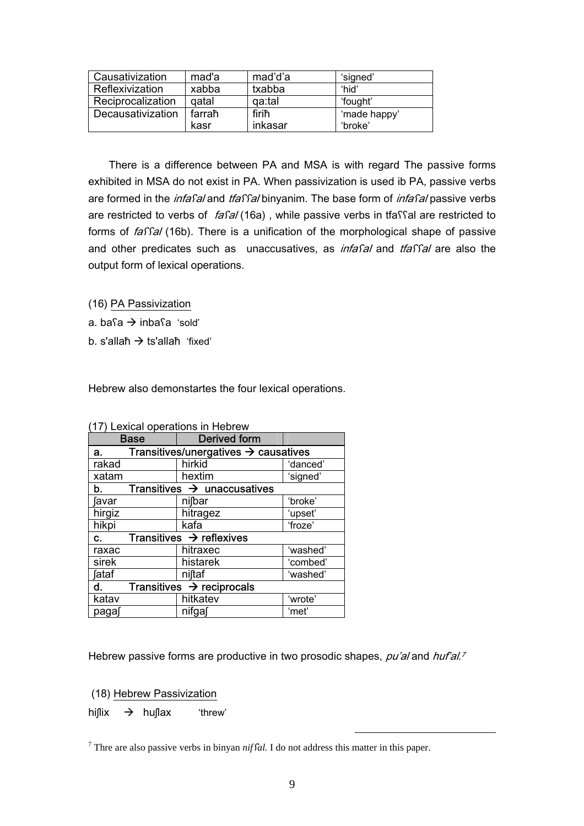| Causativization   | mad'a  | mad'd'a | 'signed'     |
|-------------------|--------|---------|--------------|
| Reflexivization   | xabba  | txabba  | 'hid'        |
| Reciprocalization | qatal  | qa:tal  | 'fought'     |
| Decausativization | farraħ | firiħ   | 'made happy' |
|                   | kasr   | inkasar | 'broke'      |

 There is a difference between PA and MSA is with regard The passive forms exhibited in MSA do not exist in PA. When passivization is used ib PA, passive verbs are formed in the *infasal* and *tfassal* binyanim. The base form of *infasal* passive verbs are restricted to verbs of fasal (16a), while passive verbs in tfassal are restricted to forms of *faffal* (16b). There is a unification of the morphological shape of passive and other predicates such as unaccusatives, as *infasal* and *tfassal* are also the output form of lexical operations.

(16) PA Passivization

a. ba $a \rightarrow$  inba $a$  'sold'

b. s'allaħ  $\rightarrow$  ts'allaħ 'fixed'

Hebrew also demonstartes the four lexical operations.

| <b>Base</b>                                            | <b>Derived form</b>                   |          |
|--------------------------------------------------------|---------------------------------------|----------|
| Transitives/unergatives $\rightarrow$ causatives<br>а. |                                       |          |
| rakad                                                  | hirkid                                | 'danced' |
| xatam                                                  | hextim                                | 'signed' |
| Transitives $\rightarrow$ unaccusatives<br>b.          |                                       |          |
| favar                                                  | nifbar                                | 'broke'  |
| hirgiz                                                 | hitragez                              | 'upset'  |
| hikpi                                                  | kafa                                  | 'froze'  |
| Transitives $\rightarrow$ reflexives<br>C.             |                                       |          |
| raxac                                                  | hitraxec                              | 'washed' |
| sirek                                                  | histarek                              | 'combed' |
| <b>fataf</b>                                           | niftaf                                | 'washed' |
| d.                                                     | Transitives $\rightarrow$ reciprocals |          |
| katav                                                  | hitkatev                              | 'wrote'  |
| paga∫                                                  | nifga∫                                | 'met'    |

(17) Lexical operations in Hebrew

Hebrew passive forms are productive in two prosodic shapes, pu'al and huf'al.<sup>7</sup>

(18) Hebrew Passivization

hiflix  $\rightarrow$  huflax 'threw'

Thre are also passive verbs in binyan *nif fal*. I do not address this matter in this paper.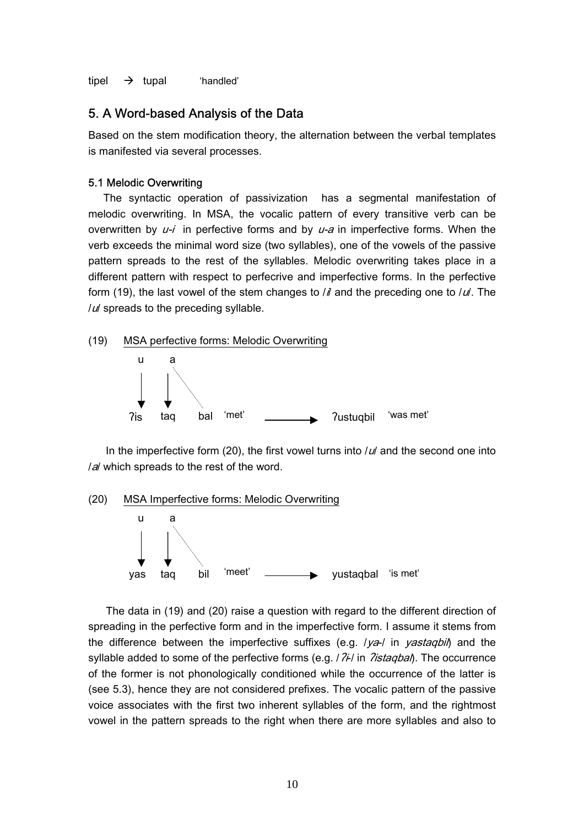tipel  $\rightarrow$  tupal 'handled'

### 5. A Word-based Analysis of the Data

Based on the stem modification theory, the alternation between the verbal templates is manifested via several processes.

#### 5.1 Melodic Overwriting

 The syntactic operation of passivization has a segmental manifestation of melodic overwriting. In MSA, the vocalic pattern of every transitive verb can be overwritten by  $u-i$  in perfective forms and by  $u-a$  in imperfective forms. When the verb exceeds the minimal word size (two syllables), one of the vowels of the passive pattern spreads to the rest of the syllables. Melodic overwriting takes place in a different pattern with respect to perfecrive and imperfective forms. In the perfective form (19), the last vowel of the stem changes to  $\ell$  and the preceding one to  $\ell$ u. The  $|u|$  spreads to the preceding syllable.



In the imperfective form (20), the first vowel turns into  $/u'$  and the second one into I al which spreads to the rest of the word.



The data in (19) and (20) raise a question with regard to the different direction of spreading in the perfective form and in the imperfective form. I assume it stems from the difference between the imperfective suffixes (e.g.  $1$ ya- $1$  in yastaqbil) and the syllable added to some of the perfective forms (e.g.  $/2\hbar/$  in  $\hbar/2$ istaqbal). The occurrence of the former is not phonologically conditioned while the occurrence of the latter is (see 5.3), hence they are not considered prefixes. The vocalic pattern of the passive voice associates with the first two inherent syllables of the form, and the rightmost vowel in the pattern spreads to the right when there are more syllables and also to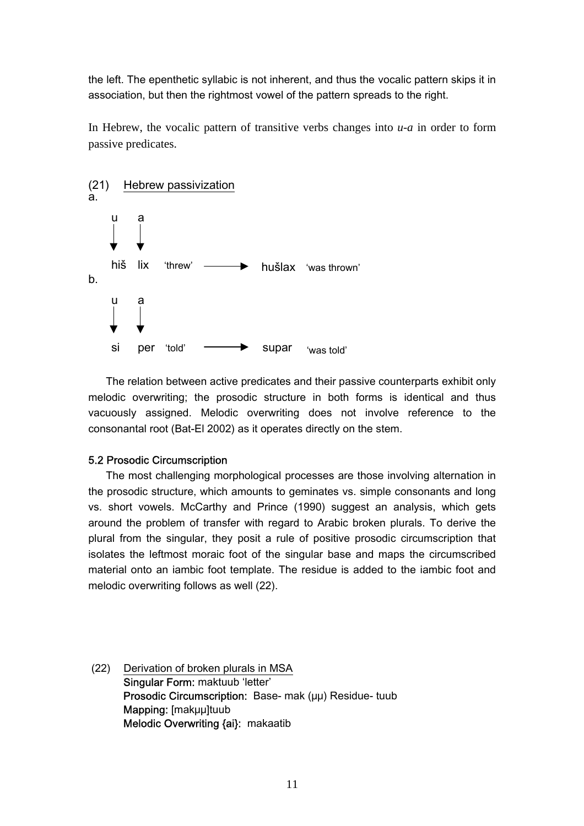the left. The epenthetic syllabic is not inherent, and thus the vocalic pattern skips it in association, but then the rightmost vowel of the pattern spreads to the right.

In Hebrew, the vocalic pattern of transitive verbs changes into *u-a* in order to form passive predicates.



The relation between active predicates and their passive counterparts exhibit only melodic overwriting; the prosodic structure in both forms is identical and thus vacuously assigned. Melodic overwriting does not involve reference to the consonantal root (Bat-El 2002) as it operates directly on the stem.

### 5.2 Prosodic Circumscription

The most challenging morphological processes are those involving alternation in the prosodic structure, which amounts to geminates vs. simple consonants and long vs. short vowels. McCarthy and Prince (1990) suggest an analysis, which gets around the problem of transfer with regard to Arabic broken plurals. To derive the plural from the singular, they posit a rule of positive prosodic circumscription that isolates the leftmost moraic foot of the singular base and maps the circumscribed material onto an iambic foot template. The residue is added to the iambic foot and melodic overwriting follows as well (22).

 (22) Derivation of broken plurals in MSA Singular Form: maktuub 'letter' Prosodic Circumscription: Base- mak (μμ) Residue- tuub Mapping: [makμμ]tuub Melodic Overwriting {ai}: makaatib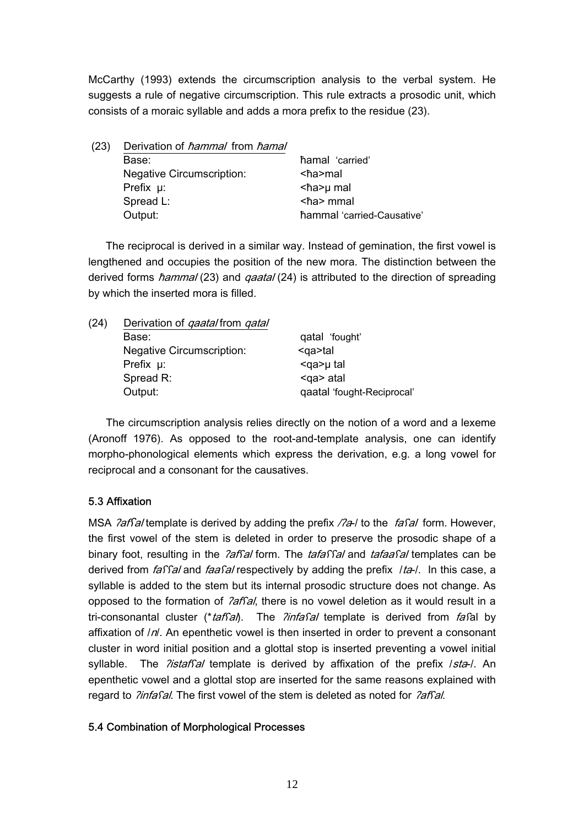McCarthy (1993) extends the circumscription analysis to the verbal system. He suggests a rule of negative circumscription. This rule extracts a prosodic unit, which consists of a moraic syllable and adds a mora prefix to the residue (23).

| (23) | Derivation of hammal from hamal  |                            |
|------|----------------------------------|----------------------------|
|      | Base:                            | hamal 'carried'            |
|      | <b>Negative Circumscription:</b> | ≺ħa>mal                    |
|      | Prefix $\mu$ :                   | <ha>µ mal</ha>             |
|      | Spread L:                        | $<$ ħa> mmal               |
|      | Output:                          | hammal 'carried-Causative' |

The reciprocal is derived in a similar way. Instead of gemination, the first vowel is lengthened and occupies the position of the new mora. The distinction between the derived forms *hammal* (23) and *qaatal* (24) is attributed to the direction of spreading by which the inserted mora is filled.

| (24) | Derivation of <i>gaatal</i> from <i>gatal</i> |                            |
|------|-----------------------------------------------|----------------------------|
|      | Base:                                         | qatal 'fought'             |
|      | <b>Negative Circumscription:</b>              | $q$ a>tal                  |
|      | Prefix $\mu$ :                                | <ga>µ tal</ga>             |
|      | Spread R:                                     | <ga> atal</ga>             |
|      | Output:                                       | qaatal 'fought-Reciprocal' |

The circumscription analysis relies directly on the notion of a word and a lexeme (Aronoff 1976). As opposed to the root-and-template analysis, one can identify morpho-phonological elements which express the derivation, e.g. a long vowel for reciprocal and a consonant for the causatives.

### 5.3 Affixation

MSA *?affal* template is derived by adding the prefix /?a-/ to the *fafal* form. However, the first vowel of the stem is deleted in order to preserve the prosodic shape of a binary foot, resulting in the *?affal* form. The *tafaffal* and *tafaafal* templates can be derived from  $f\hat{a}f\hat{a}l$  and  $f\hat{a}f\hat{a}l$  respectively by adding the prefix  $f\hat{a}l$ . In this case, a syllable is added to the stem but its internal prosodic structure does not change. As opposed to the formation of *?affal*, there is no vowel deletion as it would result in a tri-consonantal cluster (\*taf $S$ al). The *?infasal* template is derived from fasal by affixation of  $/n$ . An epenthetic vowel is then inserted in order to prevent a consonant cluster in word initial position and a glottal stop is inserted preventing a vowel initial syllable. The *?istaffal* template is derived by affixation of the prefix /sta-/. An epenthetic vowel and a glottal stop are inserted for the same reasons explained with regard to *?infafal*. The first vowel of the stem is deleted as noted for *?affal*.

### 5.4 Combination of Morphological Processes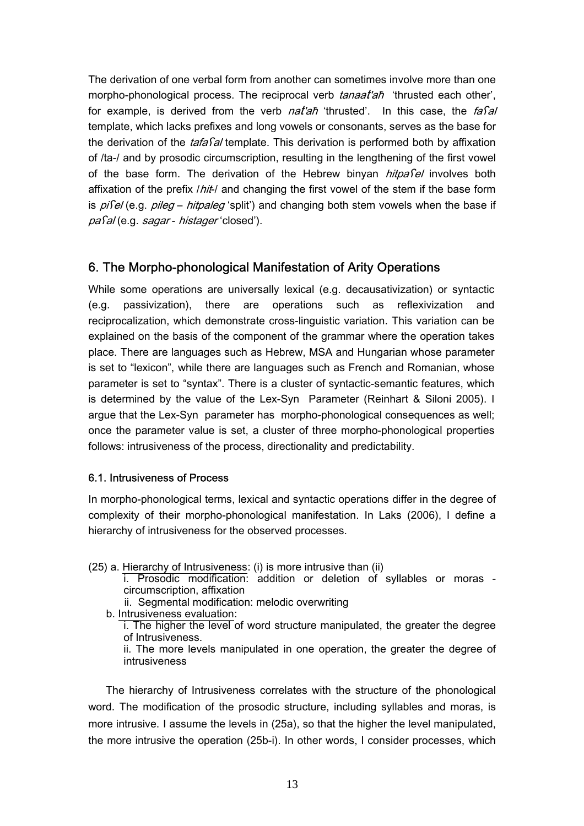The derivation of one verbal form from another can sometimes involve more than one morpho-phonological process. The reciprocal verb *tanaat'ah* 'thrusted each other', for example, is derived from the verb nat'an 'thrusted'. In this case, the fasal template, which lacks prefixes and long vowels or consonants, serves as the base for the derivation of the *tafasal* template. This derivation is performed both by affixation of /ta-/ and by prosodic circumscription, resulting in the lengthening of the first vowel of the base form. The derivation of the Hebrew binyan *hitpafel* involves both affixation of the prefix */hit-/* and changing the first vowel of the stem if the base form is  $pi$ fel (e.g.  $pi$ leg – hitpaleg 'split') and changing both stem vowels when the base if paʕal (e.g. sagar - histager 'closed').

# 6. The Morpho-phonological Manifestation of Arity Operations

While some operations are universally lexical (e.g. decausativization) or syntactic (e.g. passivization), there are operations such as reflexivization and reciprocalization, which demonstrate cross-linguistic variation. This variation can be explained on the basis of the component of the grammar where the operation takes place. There are languages such as Hebrew, MSA and Hungarian whose parameter is set to "lexicon", while there are languages such as French and Romanian, whose parameter is set to "syntax". There is a cluster of syntactic-semantic features, which is determined by the value of the Lex-Syn Parameter (Reinhart & Siloni 2005). I argue that the Lex-Syn parameter has morpho-phonological consequences as well; once the parameter value is set, a cluster of three morpho-phonological properties follows: intrusiveness of the process, directionality and predictability.

### 6.1. Intrusiveness of Process

In morpho-phonological terms, lexical and syntactic operations differ in the degree of complexity of their morpho-phonological manifestation. In Laks (2006), I define a hierarchy of intrusiveness for the observed processes.

(25) a. Hierarchy of Intrusiveness: (i) is more intrusive than (ii)

i. Prosodic modification: addition or deletion of syllables or moras circumscription, affixation

ii. Segmental modification: melodic overwriting

b. Intrusiveness evaluation:

 i. The higher the level of word structure manipulated, the greater the degree of Intrusiveness.

 ii. The more levels manipulated in one operation, the greater the degree of intrusiveness

The hierarchy of Intrusiveness correlates with the structure of the phonological word. The modification of the prosodic structure, including syllables and moras, is more intrusive. I assume the levels in (25a), so that the higher the level manipulated, the more intrusive the operation (25b-i). In other words, I consider processes, which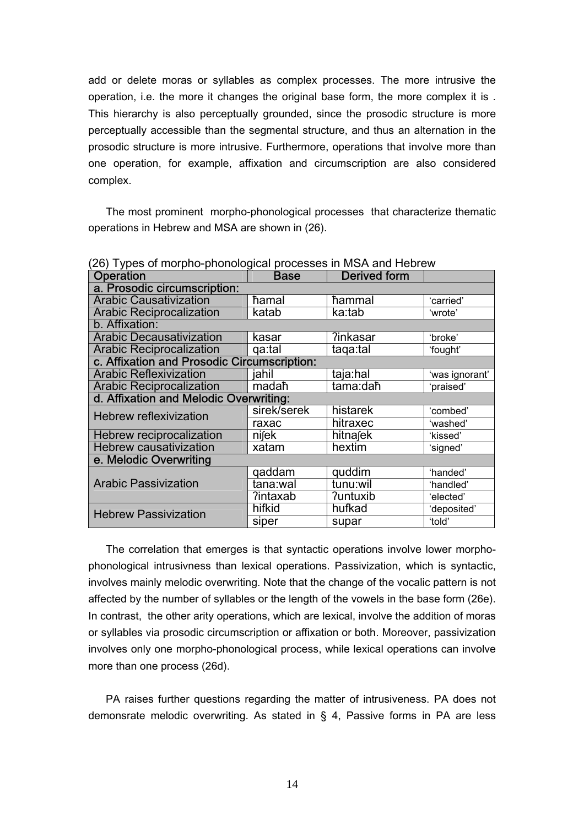add or delete moras or syllables as complex processes. The more intrusive the operation, i.e. the more it changes the original base form, the more complex it is . This hierarchy is also perceptually grounded, since the prosodic structure is more perceptually accessible than the segmental structure, and thus an alternation in the prosodic structure is more intrusive. Furthermore, operations that involve more than one operation, for example, affixation and circumscription are also considered complex.

The most prominent morpho-phonological processes that characterize thematic operations in Hebrew and MSA are shown in (26).

| LOT TYPOO OF MOTPHO PHONOGROUP PROCOCOCO IN MOT GING HODIOW<br>Operation | <b>Base</b> | <b>Derived</b> form |                |
|--------------------------------------------------------------------------|-------------|---------------------|----------------|
| a. Prosodic circumscription:                                             |             |                     |                |
| <b>Arabic Causativization</b>                                            | hamal       | hammal              | 'carried'      |
| <b>Arabic Reciprocalization</b>                                          | katab       | ka:tab              | 'wrote'        |
| b. Affixation:                                                           |             |                     |                |
| <b>Arabic Decausativization</b>                                          | kasar       | ?inkasar            | 'broke'        |
| <b>Arabic Reciprocalization</b>                                          | qa:tal      | taga:tal            | 'fought'       |
| c. Affixation and Prosodic Circumscription:                              |             |                     |                |
| <b>Arabic Reflexivization</b>                                            | iahil       | taja:hal            | 'was ignorant' |
| <b>Arabic Reciprocalization</b>                                          | madaħ       | tama:daħ            | 'praised'      |
| d. Affixation and Melodic Overwriting:                                   |             |                     |                |
| Hebrew reflexivization                                                   | sirek/serek | histarek            | 'combed'       |
|                                                                          | raxac       | hitraxec            | 'washed'       |
| Hebrew reciprocalization                                                 | niſek       | hitnajek            | 'kissed'       |
| <b>Hebrew causativization</b>                                            | xatam       | hextim              | 'signed'       |
| e. Melodic Overwriting                                                   |             |                     |                |
|                                                                          | qaddam      | quddim              | 'handed'       |
| <b>Arabic Passivization</b>                                              | tana:wal    | tunu:wil            | 'handled'      |
|                                                                          | ?intaxab    | <b>?untuxib</b>     | 'elected'      |
| <b>Hebrew Passivization</b>                                              | hifkid      | hufkad              | 'deposited'    |
|                                                                          | siper       | supar               | 'told'         |

(26) Types of morpho-phonological processes in MSA and Hebrew

The correlation that emerges is that syntactic operations involve lower morphophonological intrusivness than lexical operations. Passivization, which is syntactic, involves mainly melodic overwriting. Note that the change of the vocalic pattern is not affected by the number of syllables or the length of the vowels in the base form (26e). In contrast, the other arity operations, which are lexical, involve the addition of moras or syllables via prosodic circumscription or affixation or both. Moreover, passivization involves only one morpho-phonological process, while lexical operations can involve more than one process (26d).

PA raises further questions regarding the matter of intrusiveness. PA does not demonsrate melodic overwriting. As stated in § 4, Passive forms in PA are less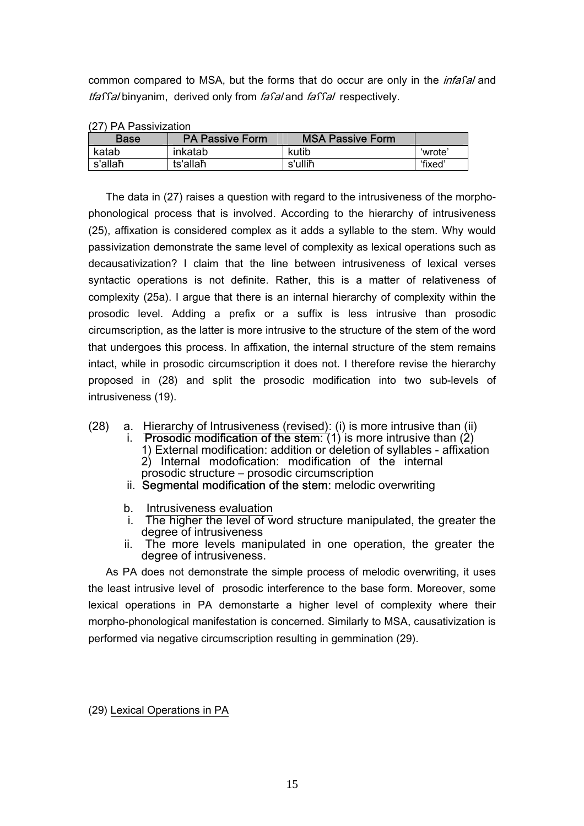common compared to MSA, but the forms that do occur are only in the *infaSal* and tfaffal binyanim, derived only from fafal and faffal respectively.

| <u>IZI I FA FASSIVIZALIVIT</u> |                        |                         |         |  |
|--------------------------------|------------------------|-------------------------|---------|--|
| <b>Base</b>                    | <b>PA Passive Form</b> | <b>MSA Passive Form</b> |         |  |
| katab                          | inkatab                | kutib                   | 'wrote' |  |
| s'allaħ                        | ts'allaħ               | s'ulliħ                 | 'fixed' |  |

(27) PA Passivization

The data in (27) raises a question with regard to the intrusiveness of the morphophonological process that is involved. According to the hierarchy of intrusiveness (25), affixation is considered complex as it adds a syllable to the stem. Why would passivization demonstrate the same level of complexity as lexical operations such as decausativization? I claim that the line between intrusiveness of lexical verses syntactic operations is not definite. Rather, this is a matter of relativeness of complexity (25a). I argue that there is an internal hierarchy of complexity within the prosodic level. Adding a prefix or a suffix is less intrusive than prosodic circumscription, as the latter is more intrusive to the structure of the stem of the word that undergoes this process. In affixation, the internal structure of the stem remains intact, while in prosodic circumscription it does not. I therefore revise the hierarchy proposed in (28) and split the prosodic modification into two sub-levels of intrusiveness (19).

- (28) a. Hierarchy of Intrusiveness (revised): (i) is more intrusive than (ii)
	- i. Prosodic modification of the stem:  $(1)$  is more intrusive than  $(2)$ 1) External modification: addition or deletion of syllables - affixation 2) Internal modofication: modification of the internal prosodic structure – prosodic circumscription
	- ii. Segmental modification of the stem: melodic overwriting
	- b. Intrusiveness evaluation
	- i. The higher the level of word structure manipulated, the greater the degree of intrusiveness
	- ii. The more levels manipulated in one operation, the greater the degree of intrusiveness.

As PA does not demonstrate the simple process of melodic overwriting, it uses the least intrusive level of prosodic interference to the base form. Moreover, some lexical operations in PA demonstarte a higher level of complexity where their morpho-phonological manifestation is concerned. Similarly to MSA, causativization is performed via negative circumscription resulting in gemmination (29).

(29) Lexical Operations in PA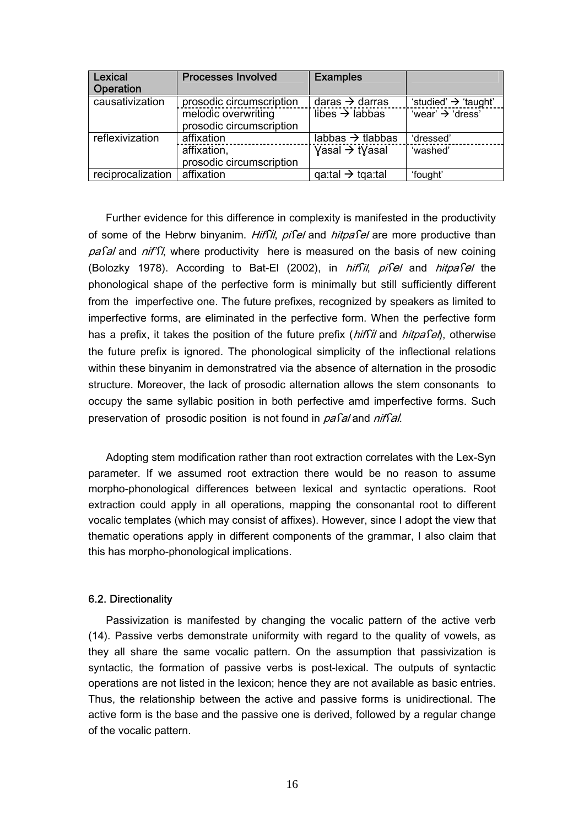| Lexical<br>Operation | <b>Processes Involved</b>                       | <b>Examples</b>                             |                                  |
|----------------------|-------------------------------------------------|---------------------------------------------|----------------------------------|
| causativization      | prosodic circumscription                        | daras $\rightarrow$ darras                  | 'studied' $\rightarrow$ 'taught' |
|                      | melodic overwriting<br>prosodic circumscription | libes $\rightarrow$ labbas                  | 'wear' $\rightarrow$ 'dress'     |
| reflexivization      | affixation                                      | labbas $\rightarrow$ tlabbas                | 'dressed'                        |
|                      | affixation,<br>prosodic circumscription         | $\gamma$ asal $\rightarrow$ t $\gamma$ asal | 'washed'                         |
| reciprocalization    | affixation                                      | $q$ a:tal $\rightarrow$ tga:tal             | 'fought'                         |

Further evidence for this difference in complexity is manifested in the productivity of some of the Hebrw binyanim. HifSil, pisel and hitpasel are more productive than  $pa$  and  $nif$   $\Omega$ , where productivity here is measured on the basis of new coining (Bolozky 1978). According to Bat-El (2002), in hiffil, pifel and hitpafel the phonological shape of the perfective form is minimally but still sufficiently different from the imperfective one. The future prefixes, recognized by speakers as limited to imperfective forms, are eliminated in the perfective form. When the perfective form has a prefix, it takes the position of the future prefix  $(hifSii)$  and  $hifpafef()$ , otherwise the future prefix is ignored. The phonological simplicity of the inflectional relations within these binyanim in demonstratred via the absence of alternation in the prosodic structure. Moreover, the lack of prosodic alternation allows the stem consonants to occupy the same syllabic position in both perfective amd imperfective forms. Such preservation of prosodic position is not found in pasal and nifsal.

Adopting stem modification rather than root extraction correlates with the Lex-Syn parameter. If we assumed root extraction there would be no reason to assume morpho-phonological differences between lexical and syntactic operations. Root extraction could apply in all operations, mapping the consonantal root to different vocalic templates (which may consist of affixes). However, since I adopt the view that thematic operations apply in different components of the grammar, I also claim that this has morpho-phonological implications.

### 6.2. Directionality

Passivization is manifested by changing the vocalic pattern of the active verb (14). Passive verbs demonstrate uniformity with regard to the quality of vowels, as they all share the same vocalic pattern. On the assumption that passivization is syntactic, the formation of passive verbs is post-lexical. The outputs of syntactic operations are not listed in the lexicon; hence they are not available as basic entries. Thus, the relationship between the active and passive forms is unidirectional. The active form is the base and the passive one is derived, followed by a regular change of the vocalic pattern.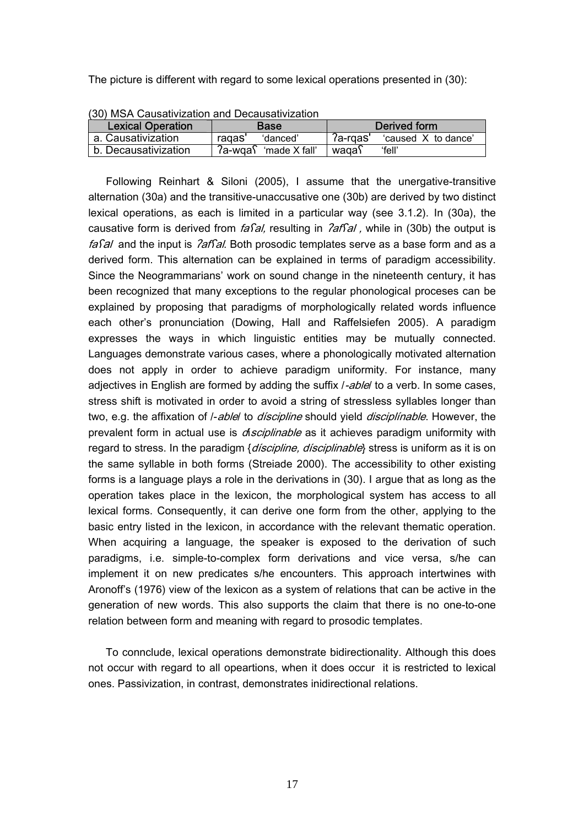The picture is different with regard to some lexical operations presented in (30):

| <b>Lexical Operation</b> | <b>Base</b>                         | Derived form                      |  |
|--------------------------|-------------------------------------|-----------------------------------|--|
| a. Causativization       | ragas'<br>'danced'                  | $7a$ -rgas<br>'caused X to dance' |  |
| b. Decausativization     | $7a$ -wɑa $\delta$<br>'made X fall' | 'fell'<br>waga\                   |  |

(30) MSA Causativization and Decausativization

Following Reinhart & Siloni (2005), I assume that the unergative-transitive alternation (30a) and the transitive-unaccusative one (30b) are derived by two distinct lexical operations, as each is limited in a particular way (see 3.1.2). In (30a), the causative form is derived from *fasal*, resulting in *lafsal*, while in (30b) the output is fasal and the input is  $\partial$ afsal. Both prosodic templates serve as a base form and as a derived form. This alternation can be explained in terms of paradigm accessibility. Since the Neogrammarians' work on sound change in the nineteenth century, it has been recognized that many exceptions to the regular phonological proceses can be explained by proposing that paradigms of morphologically related words influence each other's pronunciation (Dowing, Hall and Raffelsiefen 2005). A paradigm expresses the ways in which linguistic entities may be mutually connected. Languages demonstrate various cases, where a phonologically motivated alternation does not apply in order to achieve paradigm uniformity. For instance, many adjectives in English are formed by adding the suffix *l-ablel* to a verb. In some cases, stress shift is motivated in order to avoid a string of stressless syllables longer than two, e.g. the affixation of *l-able*/ to *discipline* should yield *disciplinable*. However, the prevalent form in actual use is *disciplinable* as it achieves paradigm uniformity with regard to stress. In the paradigm {*discipline, disciplinable*} stress is uniform as it is on the same syllable in both forms (Streiade 2000). The accessibility to other existing forms is a language plays a role in the derivations in (30). I argue that as long as the operation takes place in the lexicon, the morphological system has access to all lexical forms. Consequently, it can derive one form from the other, applying to the basic entry listed in the lexicon, in accordance with the relevant thematic operation. When acquiring a language, the speaker is exposed to the derivation of such paradigms, i.e. simple-to-complex form derivations and vice versa, s/he can implement it on new predicates s/he encounters. This approach intertwines with Aronoff's (1976) view of the lexicon as a system of relations that can be active in the generation of new words. This also supports the claim that there is no one-to-one relation between form and meaning with regard to prosodic templates.

To connclude, lexical operations demonstrate bidirectionality. Although this does not occur with regard to all opeartions, when it does occur it is restricted to lexical ones. Passivization, in contrast, demonstrates inidirectional relations.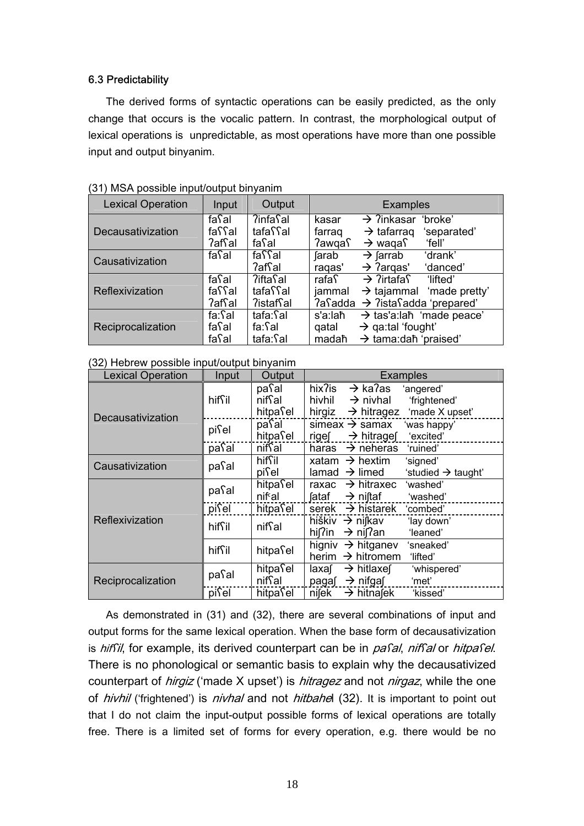### 6.3 Predictability

The derived forms of syntactic operations can be easily predicted, as the only change that occurs is the vocalic pattern. In contrast, the morphological output of lexical operations is unpredictable, as most operations have more than one possible input and output binyanim.

| <b>Lexical Operation</b> | Input                                | Output                                   | <b>Examples</b>                                                                                                                                           |
|--------------------------|--------------------------------------|------------------------------------------|-----------------------------------------------------------------------------------------------------------------------------------------------------------|
| Decausativization        | $fa$ al<br>faffal<br>?afʕal          | <b>?infa</b> sal<br>tafaิโal<br>faिal    | $\rightarrow$ ?inkasar<br>'broke'<br>kasar<br>$\rightarrow$ tafarrag<br>farraq<br>'separated'<br>$\rightarrow$ waqa $\Gamma$<br><i>่</i> ใawqaโ<br>'fell' |
| Causativization          | fa <b>S</b> al                       | faßal<br><b>?</b> afโal                  | $\rightarrow$ farrab<br>'drank'<br><b>farab</b><br>$\rightarrow$ ?argas'<br>'danced'<br>ragas'                                                            |
| Reflexivization          | $fa$ al<br>faffal<br>?afsal          | ?iftaโal<br>tafaิโal<br><b>?istaf</b> al | $\rightarrow$ ?irtafa $\Gamma$<br>rafa∫<br>'lifted'<br>$\rightarrow$ tajammal 'made pretty'<br>jammal<br>$2a$ and $\rightarrow$ $2i$ sta adda 'prepared'  |
| Reciprocalization        | $fa:$ Sal<br>fa <b>S</b> al<br>fasal | tafa:โal<br>fa:ʕal<br>tafa:Sal           | $\rightarrow$ tas'a:lah 'made peace'<br>s'a:laħ<br>$\rightarrow$ qa:tal 'fought'<br>qatal<br>$\rightarrow$ tama:dah 'praised'<br>madaħ                    |

(32) Hebrew possible input/output binyanim

| <b>Lexical Operation</b> | Input  | Output                          | <b>Examples</b>                                                                                                                              |
|--------------------------|--------|---------------------------------|----------------------------------------------------------------------------------------------------------------------------------------------|
| Decausativization        | hiffil | paโal<br>niffal<br>hitpasel     | hix?is<br>$\rightarrow$ ka?as<br>'angered'<br>hivhil<br>$\rightarrow$ nivhal<br>'frightened'<br>hirgiz $\rightarrow$ hitragez 'made X upset' |
|                          | pisel  | paʕal<br>hitpasel               | simeax $\rightarrow$ samax<br>'was happy'<br>'excited'<br>$\rightarrow$ hitrages<br>rige∫                                                    |
|                          | pasal  | niffal                          | $\rightarrow$ neheras<br>haras<br>'ruined'                                                                                                   |
| Causativization          | pasal  | hiffil<br>pisel                 | xatam $\rightarrow$ hextim<br>'signed'<br>lamad $\rightarrow$ limed<br>'studied $\rightarrow$ taught'                                        |
| Reflexivization          | pasal  | hitpasel<br>nif <sup>c</sup> al | $\rightarrow$ hitraxec<br>'washed'<br>raxac<br>→ niʃtaf<br>fataf<br>'washed'                                                                 |
|                          | pisel  | hitpasel                        | serek $\rightarrow$ histarek 'combed'                                                                                                        |
|                          | hiffil | nifsal                          | hiškiv $\rightarrow$ nifkav<br>'lay down'<br>hi $\int$ in $\rightarrow$ ni $\int$ an<br>'leaned'                                             |
|                          | hiffil | hitpasel                        | higniv $\rightarrow$ hitganev<br>'sneaked'<br>$\rightarrow$ hitromem<br>herim<br>'lifted'                                                    |
| Reciprocalization        | pasal  | hitpasel<br>niffal              | $\rightarrow$ hitlaxef<br>'whispered'<br>laxaſ<br>$\rightarrow$ nifgaf<br>'met'<br>paga∫                                                     |
|                          | pisel  | hitpasel                        | nifek<br>$\rightarrow$ hitnasek<br>'kissed'                                                                                                  |

As demonstrated in (31) and (32), there are several combinations of input and output forms for the same lexical operation. When the base form of decausativization is hif il, for example, its derived counterpart can be in pasal, niffal or hitpasel. There is no phonological or semantic basis to explain why the decausativized counterpart of *hirgiz* ('made X upset') is *hitragez* and not *nirgaz*, while the one of *hivhil* ('frightened') is *nivhal* and not *hitbahel* (32). It is important to point out that I do not claim the input-output possible forms of lexical operations are totally free. There is a limited set of forms for every operation, e.g. there would be no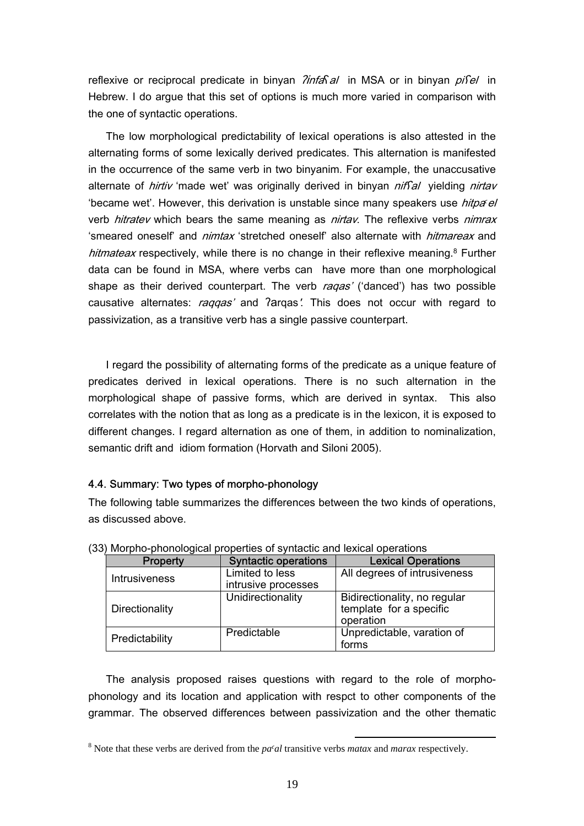reflexive or reciprocal predicate in binyan *?infa*sal in MSA or in binyan *pisel* in Hebrew. I do argue that this set of options is much more varied in comparison with the one of syntactic operations.

The low morphological predictability of lexical operations is also attested in the alternating forms of some lexically derived predicates. This alternation is manifested in the occurrence of the same verb in two binyanim. For example, the unaccusative alternate of *hirtiv* 'made wet' was originally derived in binyan *niffal* yielding *nirtav* 'became wet'. However, this derivation is unstable since many speakers use *hitpa<sup>ol</sup>* verb *hitratev* which bears the same meaning as *nirtav*. The reflexive verbs *nimrax* 'smeared oneself' and *nimtax* 'stretched oneself' also alternate with *hitmareax* and hitmateax respectively, while there is no change in their reflexive meaning.<sup>8</sup> Further data can be found in MSA, where verbs can have more than one morphological shape as their derived counterpart. The verb ragas' ('danced') has two possible causative alternates: raggas' and ?argas'. This does not occur with regard to passivization, as a transitive verb has a single passive counterpart.

I regard the possibility of alternating forms of the predicate as a unique feature of predicates derived in lexical operations. There is no such alternation in the morphological shape of passive forms, which are derived in syntax. This also correlates with the notion that as long as a predicate is in the lexicon, it is exposed to different changes. I regard alternation as one of them, in addition to nominalization, semantic drift and idiom formation (Horvath and Siloni 2005).

### 4.4. Summary: Two types of morpho-phonology

The following table summarizes the differences between the two kinds of operations, as discussed above.

| <b>Property</b>      | <b>Syntactic operations</b>            | <b>Lexical Operations</b>                                            |
|----------------------|----------------------------------------|----------------------------------------------------------------------|
| <b>Intrusiveness</b> | Limited to less<br>intrusive processes | All degrees of intrusiveness                                         |
| Directionality       | Unidirectionality                      | Bidirectionality, no regular<br>template for a specific<br>operation |
| Predictability       | Predictable                            | Unpredictable, varation of<br>forms                                  |

(33) Morpho-phonological properties of syntactic and lexical operations

The analysis proposed raises questions with regard to the role of morphophonology and its location and application with respct to other components of the grammar. The observed differences between passivization and the other thematic

 <sup>8</sup> Note that these verbs are derived from the *pa>al* transitive verbs *matax* and *marax* respectively.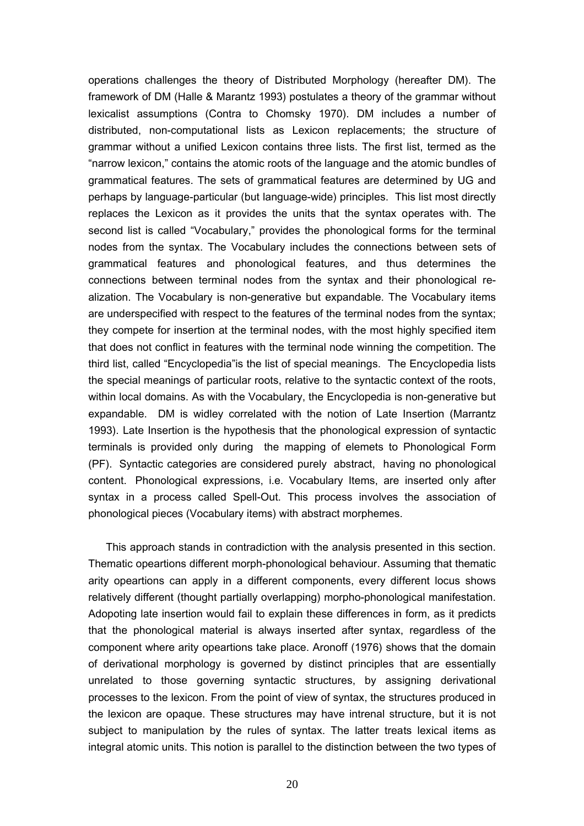operations challenges the theory of Distributed Morphology (hereafter DM). The framework of DM (Halle & Marantz 1993) postulates a theory of the grammar without lexicalist assumptions (Contra to Chomsky 1970). DM includes a number of distributed, non-computational lists as Lexicon replacements; the structure of grammar without a unified Lexicon contains three lists. The first list, termed as the "narrow lexicon," contains the atomic roots of the language and the atomic bundles of grammatical features. The sets of grammatical features are determined by UG and perhaps by language-particular (but language-wide) principles. This list most directly replaces the Lexicon as it provides the units that the syntax operates with. The second list is called "Vocabulary," provides the phonological forms for the terminal nodes from the syntax. The Vocabulary includes the connections between sets of grammatical features and phonological features, and thus determines the connections between terminal nodes from the syntax and their phonological realization. The Vocabulary is non-generative but expandable. The Vocabulary items are underspecified with respect to the features of the terminal nodes from the syntax; they compete for insertion at the terminal nodes, with the most highly specified item that does not conflict in features with the terminal node winning the competition. The third list, called "Encyclopedia"is the list of special meanings. The Encyclopedia lists the special meanings of particular roots, relative to the syntactic context of the roots, within local domains. As with the Vocabulary, the Encyclopedia is non-generative but expandable. DM is widley correlated with the notion of Late Insertion (Marrantz 1993). Late Insertion is the hypothesis that the phonological expression of syntactic terminals is provided only during the mapping of elemets to Phonological Form (PF). Syntactic categories are considered purely abstract, having no phonological content. Phonological expressions, i.e. Vocabulary Items, are inserted only after syntax in a process called Spell-Out. This process involves the association of phonological pieces (Vocabulary items) with abstract morphemes.

This approach stands in contradiction with the analysis presented in this section. Thematic opeartions different morph-phonological behaviour. Assuming that thematic arity opeartions can apply in a different components, every different locus shows relatively different (thought partially overlapping) morpho-phonological manifestation. Adopoting late insertion would fail to explain these differences in form, as it predicts that the phonological material is always inserted after syntax, regardless of the component where arity opeartions take place. Aronoff (1976) shows that the domain of derivational morphology is governed by distinct principles that are essentially unrelated to those governing syntactic structures, by assigning derivational processes to the lexicon. From the point of view of syntax, the structures produced in the lexicon are opaque. These structures may have intrenal structure, but it is not subject to manipulation by the rules of syntax. The latter treats lexical items as integral atomic units. This notion is parallel to the distinction between the two types of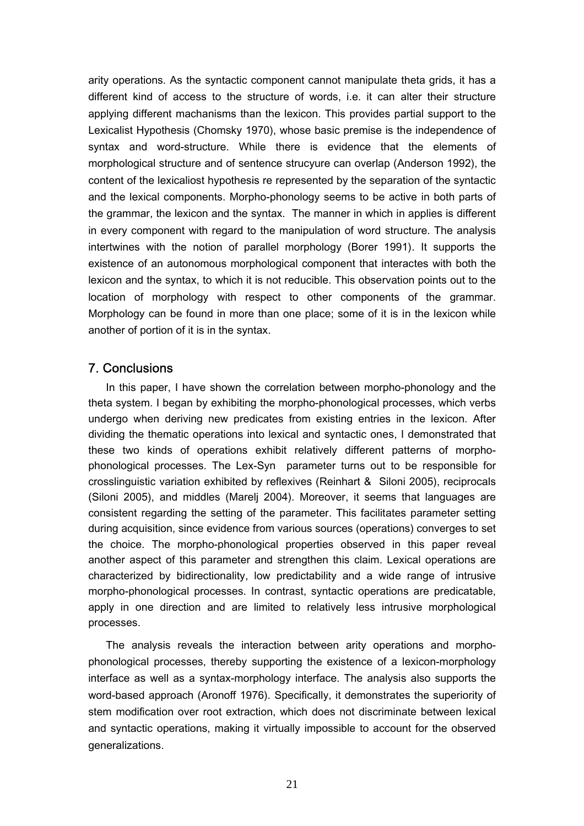arity operations. As the syntactic component cannot manipulate theta grids, it has a different kind of access to the structure of words, i.e. it can alter their structure applying different machanisms than the lexicon. This provides partial support to the Lexicalist Hypothesis (Chomsky 1970), whose basic premise is the independence of syntax and word-structure. While there is evidence that the elements of morphological structure and of sentence strucyure can overlap (Anderson 1992), the content of the lexicaliost hypothesis re represented by the separation of the syntactic and the lexical components. Morpho-phonology seems to be active in both parts of the grammar, the lexicon and the syntax. The manner in which in applies is different in every component with regard to the manipulation of word structure. The analysis intertwines with the notion of parallel morphology (Borer 1991). It supports the existence of an autonomous morphological component that interactes with both the lexicon and the syntax, to which it is not reducible. This observation points out to the location of morphology with respect to other components of the grammar. Morphology can be found in more than one place; some of it is in the lexicon while another of portion of it is in the syntax.

## 7. Conclusions

In this paper, I have shown the correlation between morpho-phonology and the theta system. I began by exhibiting the morpho-phonological processes, which verbs undergo when deriving new predicates from existing entries in the lexicon. After dividing the thematic operations into lexical and syntactic ones, I demonstrated that these two kinds of operations exhibit relatively different patterns of morphophonological processes. The Lex-Syn parameter turns out to be responsible for crosslinguistic variation exhibited by reflexives (Reinhart & Siloni 2005), reciprocals (Siloni 2005), and middles (Marelj 2004). Moreover, it seems that languages are consistent regarding the setting of the parameter. This facilitates parameter setting during acquisition, since evidence from various sources (operations) converges to set the choice. The morpho-phonological properties observed in this paper reveal another aspect of this parameter and strengthen this claim. Lexical operations are characterized by bidirectionality, low predictability and a wide range of intrusive morpho-phonological processes. In contrast, syntactic operations are predicatable, apply in one direction and are limited to relatively less intrusive morphological processes.

The analysis reveals the interaction between arity operations and morphophonological processes, thereby supporting the existence of a lexicon-morphology interface as well as a syntax-morphology interface. The analysis also supports the word-based approach (Aronoff 1976). Specifically, it demonstrates the superiority of stem modification over root extraction, which does not discriminate between lexical and syntactic operations, making it virtually impossible to account for the observed generalizations.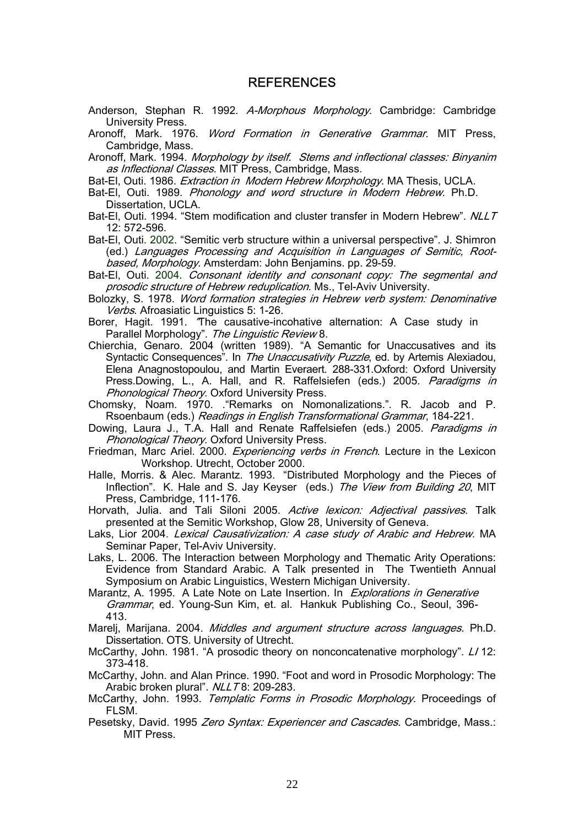### REFERENCES

- Anderson, Stephan R. 1992. A-Morphous Morphology. Cambridge: Cambridge University Press.
- Aronoff, Mark. 1976. Word Formation in Generative Grammar. MIT Press, Cambridge, Mass.
- Aronoff, Mark. 1994. Morphology by itself. Stems and inflectional classes: Binyanim as Inflectional Classes. MIT Press, Cambridge, Mass.
- Bat-El, Outi. 1986. *Extraction in Modern Hebrew Morphology*. MA Thesis, UCLA.
- Bat-El, Outi. 1989. Phonology and word structure in Modern Hebrew. Ph.D. Dissertation, UCLA.
- Bat-El, Outi. 1994. "Stem modification and cluster transfer in Modern Hebrew". NLLT 12: 572-596.

Bat-El, Outi. 2002. "Semitic verb structure within a universal perspective". J. Shimron (ed.) Languages Processing and Acquisition in Languages of Semitic, Rootbased, Morphology. Amsterdam: John Benjamins. pp. 29-59.

- Bat-El, Outi. 2004. Consonant identity and consonant copy: The segmental and prosodic structure of Hebrew reduplication. Ms., Tel-Aviv University.
- Bolozky, S. 1978. Word formation strategies in Hebrew verb system: Denominative Verbs. Afroasiatic Linguistics 5: 1-26.
- Borer, Hagit. 1991. "The causative-incohative alternation: A Case study in Parallel Morphology". The Linguistic Review 8.
- Chierchia, Genaro. 2004 (written 1989). "A Semantic for Unaccusatives and its Syntactic Consequences". In The Unaccusativity Puzzle, ed. by Artemis Alexiadou, Elena Anagnostopoulou, and Martin Everaert. 288-331.Oxford: Oxford University Press.Dowing, L., A. Hall, and R. Raffelsiefen (eds.) 2005. Paradigms in **Phonological Theory. Oxford University Press.**
- Chomsky, Noam. 1970. ."Remarks on Nomonalizations.". R. Jacob and P. Rsoenbaum (eds.) Readings in English Transformational Grammar, 184-221.
- Dowing, Laura J., T.A. Hall and Renate Raffelsiefen (eds.) 2005. Paradigms in **Phonological Theory. Oxford University Press.**
- Friedman, Marc Ariel. 2000. Experiencing verbs in French. Lecture in the Lexicon Workshop. Utrecht, October 2000.
- Halle, Morris. & Alec. Marantz. 1993. "Distributed Morphology and the Pieces of Inflection". K. Hale and S. Jay Keyser (eds.) The View from Building 20, MIT Press, Cambridge, 111-176.
- Horvath, Julia. and Tali Siloni 2005. Active lexicon: Adjectival passives. Talk presented at the Semitic Workshop, Glow 28, University of Geneva.
- Laks, Lior 2004. Lexical Causativization: A case study of Arabic and Hebrew. MA Seminar Paper, Tel-Aviv University.
- Laks, L. 2006. The Interaction between Morphology and Thematic Arity Operations: Evidence from Standard Arabic. A Talk presented in The Twentieth Annual Symposium on Arabic Linguistics, Western Michigan University.
- Marantz, A. 1995. A Late Note on Late Insertion. In Explorations in Generative Grammar, ed. Young-Sun Kim, et. al. Hankuk Publishing Co., Seoul, 396- 413.
- Mareli, Marijana. 2004. *Middles and argument structure across languages*. Ph.D. Dissertation. OTS. University of Utrecht.
- McCarthy, John. 1981. "A prosodic theory on nonconcatenative morphology". LI 12: 373-418.
- McCarthy, John. and Alan Prince. 1990. "Foot and word in Prosodic Morphology: The Arabic broken plural". NLLT8: 209-283.
- McCarthy, John. 1993. Templatic Forms in Prosodic Morphology. Proceedings of FLSM.
- Pesetsky, David. 1995 Zero Syntax: Experiencer and Cascades. Cambridge, Mass.: MIT Press.